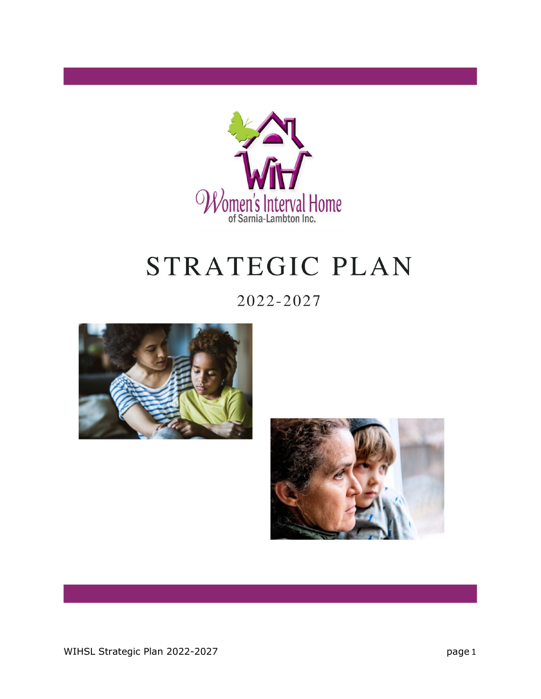

# STRATEGIC PLAN

2022-2027



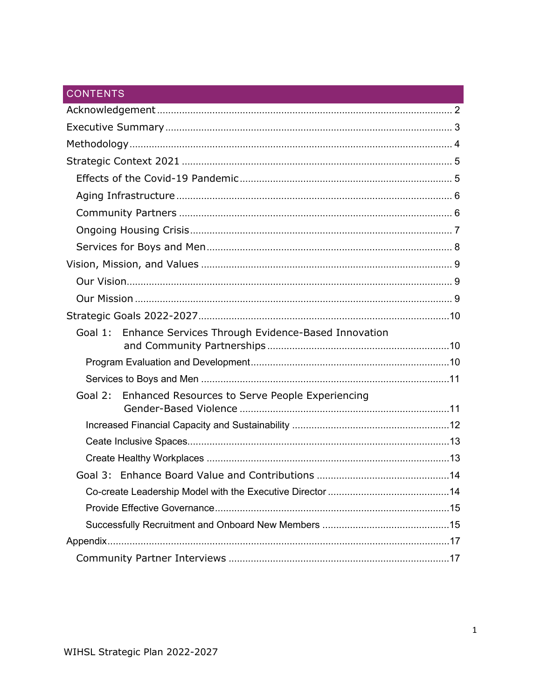### **CONTENTS**

| Goal 1: Enhance Services Through Evidence-Based Innovation     |  |
|----------------------------------------------------------------|--|
|                                                                |  |
|                                                                |  |
|                                                                |  |
| Goal 2: Enhanced Resources to Serve People Experiencing        |  |
|                                                                |  |
|                                                                |  |
|                                                                |  |
|                                                                |  |
| Co-create Leadership Model with the Executive Director<br>. 14 |  |
|                                                                |  |
|                                                                |  |
|                                                                |  |
|                                                                |  |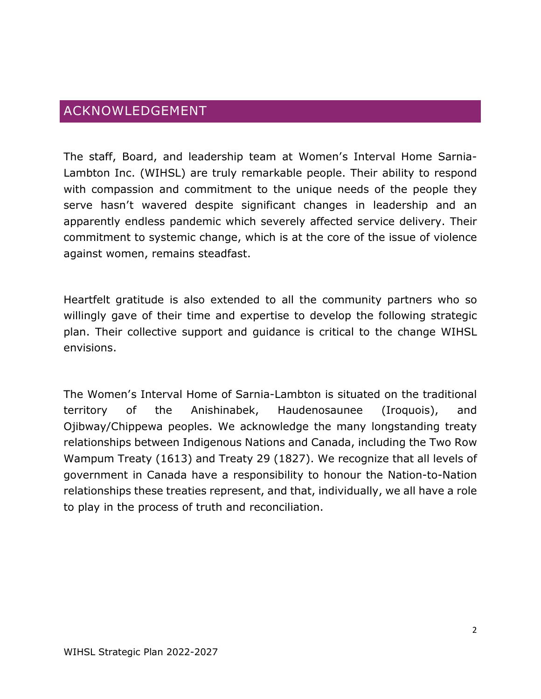## <span id="page-2-0"></span>ACKNOWLEDGEMENT

The staff, Board, and leadership team at Women's Interval Home Sarnia-Lambton Inc. (WIHSL) are truly remarkable people. Their ability to respond with compassion and commitment to the unique needs of the people they serve hasn't wavered despite significant changes in leadership and an apparently endless pandemic which severely affected service delivery. Their commitment to systemic change, which is at the core of the issue of violence against women, remains steadfast.

Heartfelt gratitude is also extended to all the community partners who so willingly gave of their time and expertise to develop the following strategic plan. Their collective support and guidance is critical to the change WIHSL envisions.

The Women's Interval Home of Sarnia-Lambton is situated on the traditional territory of the Anishinabek, Haudenosaunee (Iroquois), and Ojibway/Chippewa peoples. We acknowledge the many longstanding treaty relationships between Indigenous Nations and Canada, including the Two Row Wampum Treaty (1613) and Treaty 29 (1827). We recognize that all levels of government in Canada have a responsibility to honour the Nation-to-Nation relationships these treaties represent, and that, individually, we all have a role to play in the process of truth and reconciliation.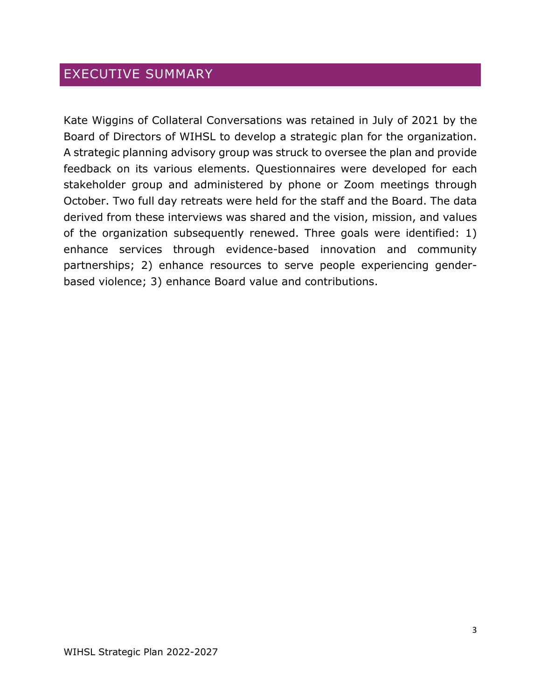# <span id="page-3-0"></span>EXECUTIVE SUMMARY

Kate Wiggins of Collateral Conversations was retained in July of 2021 by the Board of Directors of WIHSL to develop a strategic plan for the organization. A strategic planning advisory group was struck to oversee the plan and provide feedback on its various elements. Questionnaires were developed for each stakeholder group and administered by phone or Zoom meetings through October. Two full day retreats were held for the staff and the Board. The data derived from these interviews was shared and the vision, mission, and values of the organization subsequently renewed. Three goals were identified: 1) enhance services through evidence-based innovation and community partnerships; 2) enhance resources to serve people experiencing genderbased violence; 3) enhance Board value and contributions.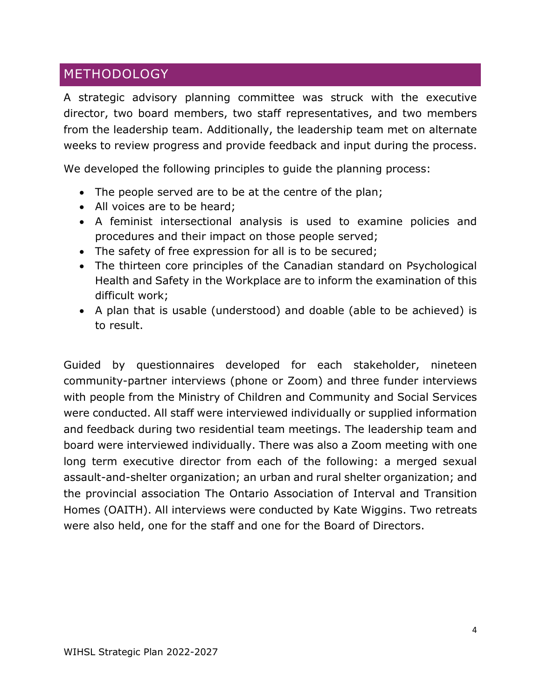## <span id="page-4-0"></span>**METHODOLOGY**

A strategic advisory planning committee was struck with the executive director, two board members, two staff representatives, and two members from the leadership team. Additionally, the leadership team met on alternate weeks to review progress and provide feedback and input during the process.

We developed the following principles to guide the planning process:

- The people served are to be at the centre of the plan;
- All voices are to be heard;
- A feminist intersectional analysis is used to examine policies and procedures and their impact on those people served;
- The safety of free expression for all is to be secured;
- The thirteen core principles of the Canadian standard on Psychological Health and Safety in the Workplace are to inform the examination of this difficult work;
- A plan that is usable (understood) and doable (able to be achieved) is to result.

Guided by questionnaires developed for each stakeholder, nineteen community-partner interviews (phone or Zoom) and three funder interviews with people from the Ministry of Children and Community and Social Services were conducted. All staff were interviewed individually or supplied information and feedback during two residential team meetings. The leadership team and board were interviewed individually. There was also a Zoom meeting with one long term executive director from each of the following: a merged sexual assault-and-shelter organization; an urban and rural shelter organization; and the provincial association The Ontario Association of Interval and Transition Homes (OAITH). All interviews were conducted by Kate Wiggins. Two retreats were also held, one for the staff and one for the Board of Directors.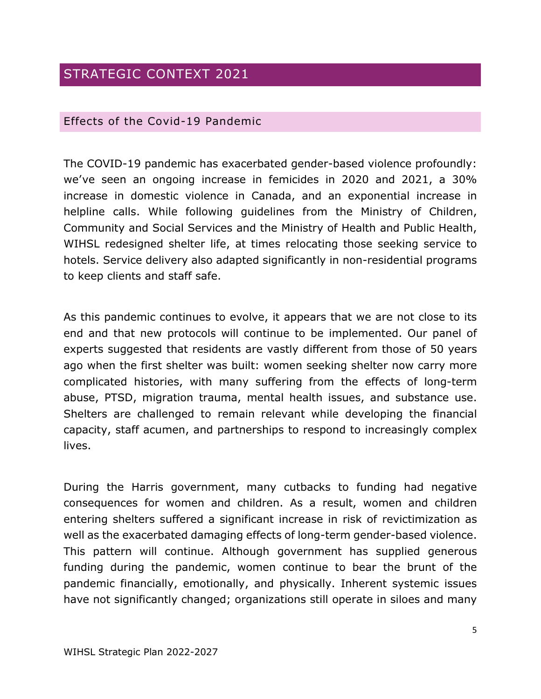# <span id="page-5-0"></span>STRATEGIC CONTEXT 2021

### <span id="page-5-1"></span>Effects of the Covid-19 Pandemic

The COVID-19 pandemic has exacerbated gender-based violence profoundly: we've seen an ongoing increase in femicides in 2020 and 2021, a 30% increase in domestic violence in Canada, and an exponential increase in helpline calls. While following guidelines from the Ministry of Children, Community and Social Services and the Ministry of Health and Public Health, WIHSL redesigned shelter life, at times relocating those seeking service to hotels. Service delivery also adapted significantly in non-residential programs to keep clients and staff safe.

As this pandemic continues to evolve, it appears that we are not close to its end and that new protocols will continue to be implemented. Our panel of experts suggested that residents are vastly different from those of 50 years ago when the first shelter was built: women seeking shelter now carry more complicated histories, with many suffering from the effects of long-term abuse, PTSD, migration trauma, mental health issues, and substance use. Shelters are challenged to remain relevant while developing the financial capacity, staff acumen, and partnerships to respond to increasingly complex lives.

During the Harris government, many cutbacks to funding had negative consequences for women and children. As a result, women and children entering shelters suffered a significant increase in risk of revictimization as well as the exacerbated damaging effects of long-term gender-based violence. This pattern will continue. Although government has supplied generous funding during the pandemic, women continue to bear the brunt of the pandemic financially, emotionally, and physically. Inherent systemic issues have not significantly changed; organizations still operate in siloes and many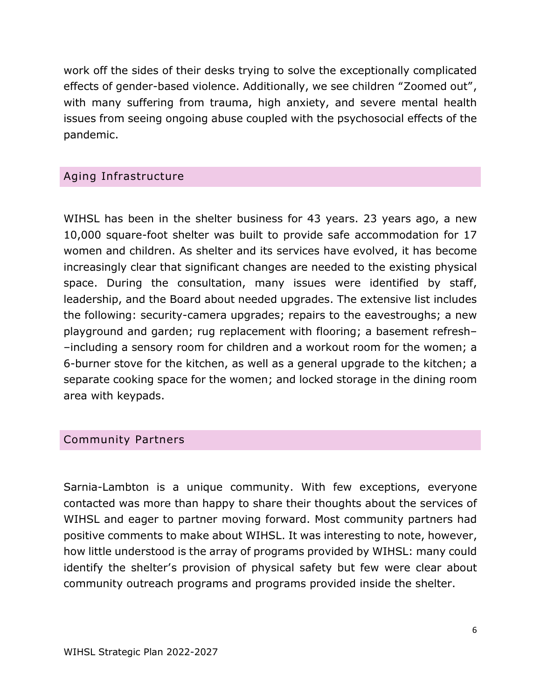work off the sides of their desks trying to solve the exceptionally complicated effects of gender-based violence. Additionally, we see children "Zoomed out", with many suffering from trauma, high anxiety, and severe mental health issues from seeing ongoing abuse coupled with the psychosocial effects of the pandemic.

### <span id="page-6-0"></span>Aging Infrastructure

WIHSL has been in the shelter business for 43 years. 23 years ago, a new 10,000 square-foot shelter was built to provide safe accommodation for 17 women and children. As shelter and its services have evolved, it has become increasingly clear that significant changes are needed to the existing physical space. During the consultation, many issues were identified by staff, leadership, and the Board about needed upgrades. The extensive list includes the following: security-camera upgrades; repairs to the eavestroughs; a new playground and garden; rug replacement with flooring; a basement refresh– –including a sensory room for children and a workout room for the women; a 6-burner stove for the kitchen, as well as a general upgrade to the kitchen; a separate cooking space for the women; and locked storage in the dining room area with keypads.

### <span id="page-6-1"></span>Community Partners

Sarnia-Lambton is a unique community. With few exceptions, everyone contacted was more than happy to share their thoughts about the services of WIHSL and eager to partner moving forward. Most community partners had positive comments to make about WIHSL. It was interesting to note, however, how little understood is the array of programs provided by WIHSL: many could identify the shelter's provision of physical safety but few were clear about community outreach programs and programs provided inside the shelter.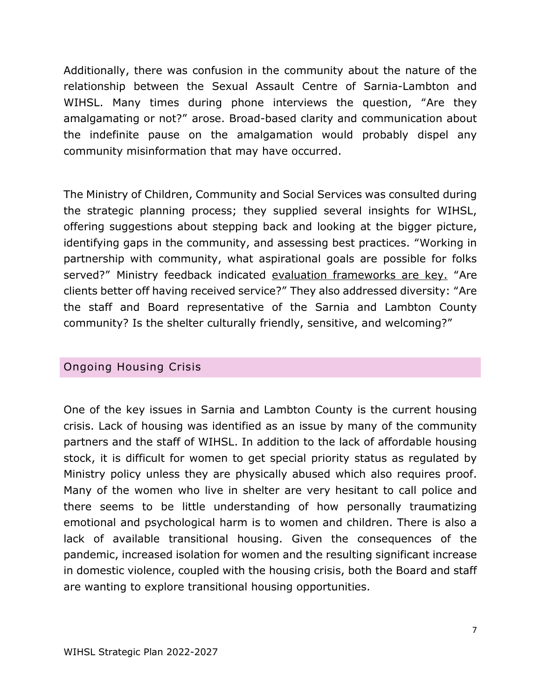Additionally, there was confusion in the community about the nature of the relationship between the Sexual Assault Centre of Sarnia-Lambton and WIHSL. Many times during phone interviews the question, "Are they amalgamating or not?" arose. Broad-based clarity and communication about the indefinite pause on the amalgamation would probably dispel any community misinformation that may have occurred.

The Ministry of Children, Community and Social Services was consulted during the strategic planning process; they supplied several insights for WIHSL, offering suggestions about stepping back and looking at the bigger picture, identifying gaps in the community, and assessing best practices. "Working in partnership with community, what aspirational goals are possible for folks served?" Ministry feedback indicated evaluation frameworks are key. "Are clients better off having received service?" They also addressed diversity: "Are the staff and Board representative of the Sarnia and Lambton County community? Is the shelter culturally friendly, sensitive, and welcoming?"

### <span id="page-7-0"></span>Ongoing Housing Crisis

One of the key issues in Sarnia and Lambton County is the current housing crisis. Lack of housing was identified as an issue by many of the community partners and the staff of WIHSL. In addition to the lack of affordable housing stock, it is difficult for women to get special priority status as regulated by Ministry policy unless they are physically abused which also requires proof. Many of the women who live in shelter are very hesitant to call police and there seems to be little understanding of how personally traumatizing emotional and psychological harm is to women and children. There is also a lack of available transitional housing. Given the consequences of the pandemic, increased isolation for women and the resulting significant increase in domestic violence, coupled with the housing crisis, both the Board and staff are wanting to explore transitional housing opportunities.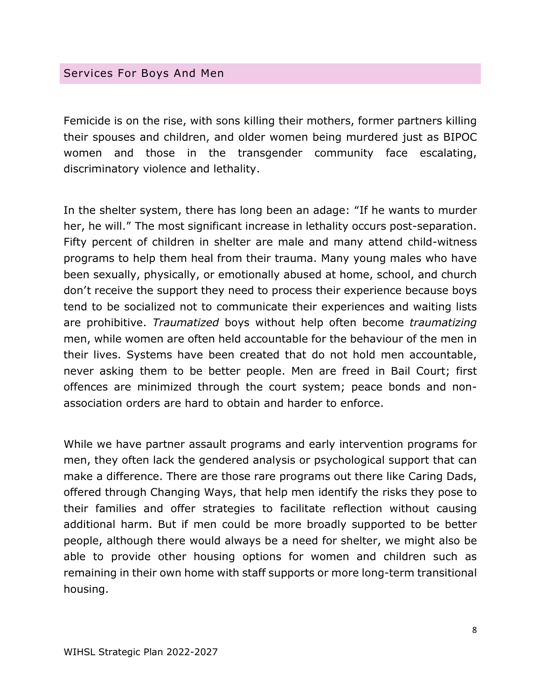#### <span id="page-8-0"></span>Services For Boys And Men

Femicide is on the rise, with sons killing their mothers, former partners killing their spouses and children, and older women being murdered just as BIPOC women and those in the transgender community face escalating, discriminatory violence and lethality.

In the shelter system, there has long been an adage: "If he wants to murder her, he will." The most significant increase in lethality occurs post-separation. Fifty percent of children in shelter are male and many attend child-witness programs to help them heal from their trauma. Many young males who have been sexually, physically, or emotionally abused at home, school, and church don't receive the support they need to process their experience because boys tend to be socialized not to communicate their experiences and waiting lists are prohibitive. *Traumatized* boys without help often become *traumatizing* men, while women are often held accountable for the behaviour of the men in their lives. Systems have been created that do not hold men accountable, never asking them to be better people. Men are freed in Bail Court; first offences are minimized through the court system; peace bonds and nonassociation orders are hard to obtain and harder to enforce.

While we have partner assault programs and early intervention programs for men, they often lack the gendered analysis or psychological support that can make a difference. There are those rare programs out there like Caring Dads, offered through Changing Ways, that help men identify the risks they pose to their families and offer strategies to facilitate reflection without causing additional harm. But if men could be more broadly supported to be better people, although there would always be a need for shelter, we might also be able to provide other housing options for women and children such as remaining in their own home with staff supports or more long-term transitional housing.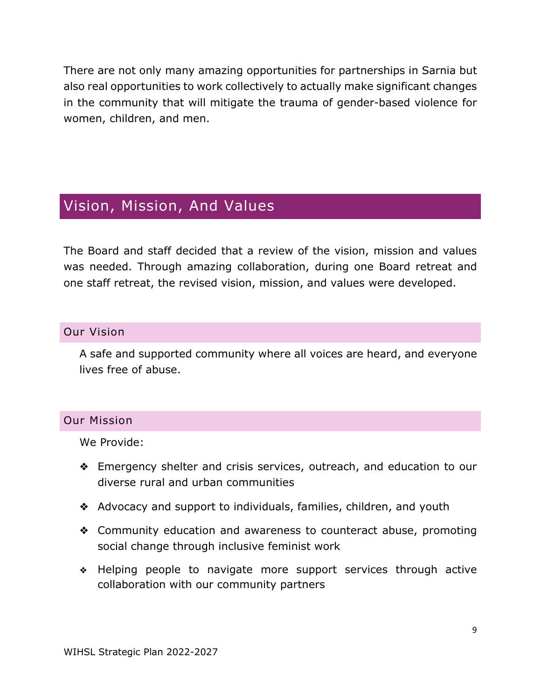There are not only many amazing opportunities for partnerships in Sarnia but also real opportunities to work collectively to actually make significant changes in the community that will mitigate the trauma of gender-based violence for women, children, and men.

# <span id="page-9-0"></span>Vision, Mission, And Values

The Board and staff decided that a review of the vision, mission and values was needed. Through amazing collaboration, during one Board retreat and one staff retreat, the revised vision, mission, and values were developed.

### <span id="page-9-1"></span>Our Vision

A safe and supported community where all voices are heard, and everyone lives free of abuse.

### <span id="page-9-2"></span>Our Mission

We Provide:

- ❖ Emergency shelter and crisis services, outreach, and education to our diverse rural and urban communities
- ❖ Advocacy and support to individuals, families, children, and youth
- ❖ Community education and awareness to counteract abuse, promoting social change through inclusive feminist work
- ❖ Helping people to navigate more support services through active collaboration with our community partners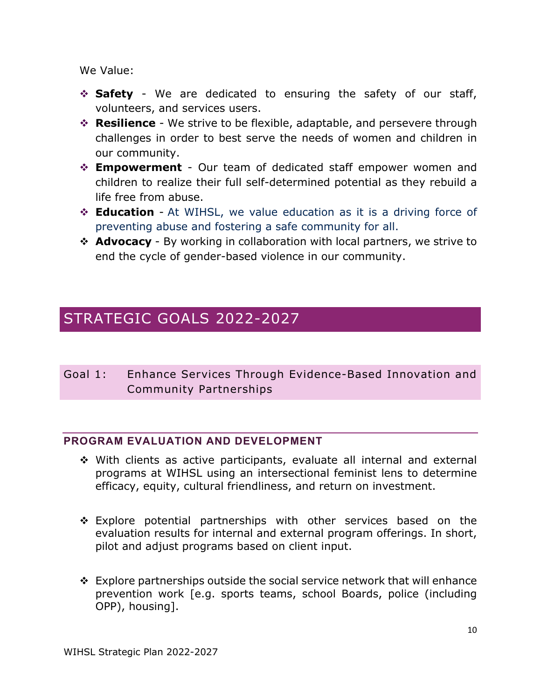We Value:

- **Safety** We are dedicated to ensuring the safety of our staff, volunteers, and services users.
- **Resilience** We strive to be flexible, adaptable, and persevere through challenges in order to best serve the needs of women and children in our community.
- **Empowerment** Our team of dedicated staff empower women and children to realize their full self-determined potential as they rebuild a life free from abuse.
- **Education** At WIHSL, we value education as it is a driving force of preventing abuse and fostering a safe community for all.
- **↑ Advocacy** By working in collaboration with local partners, we strive to end the cycle of gender-based violence in our community.

# <span id="page-10-0"></span>STRATEGIC GOALS 2022-2027

<span id="page-10-1"></span>Goal 1: Enhance Services Through Evidence-Based Innovation and Community Partnerships

### <span id="page-10-2"></span>**PROGRAM EVALUATION AND DEVELOPMENT**

- With clients as active participants, evaluate all internal and external programs at WIHSL using an intersectional feminist lens to determine efficacy, equity, cultural friendliness, and return on investment.
- $\div$  Explore potential partnerships with other services based on the evaluation results for internal and external program offerings. In short, pilot and adjust programs based on client input.
- $\div$  Explore partnerships outside the social service network that will enhance prevention work [e.g. sports teams, school Boards, police (including OPP), housing].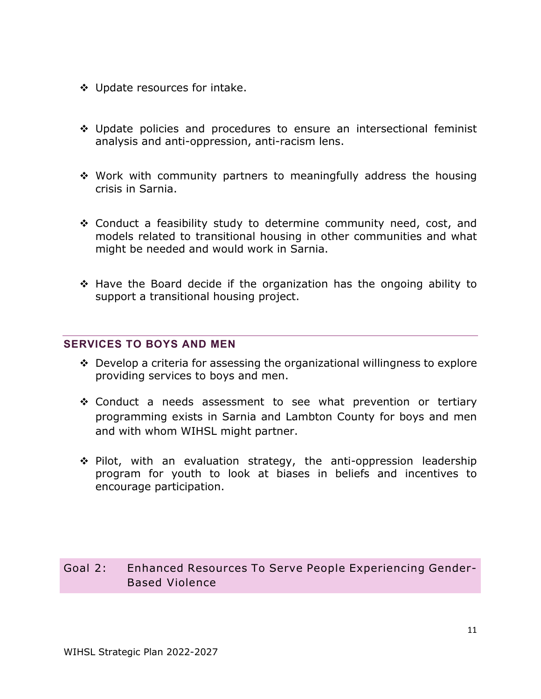- Update resources for intake.
- Update policies and procedures to ensure an intersectional feminist analysis and anti-oppression, anti-racism lens.
- Work with community partners to meaningfully address the housing crisis in Sarnia.
- Conduct a feasibility study to determine community need, cost, and models related to transitional housing in other communities and what might be needed and would work in Sarnia.
- Have the Board decide if the organization has the ongoing ability to support a transitional housing project.

#### <span id="page-11-0"></span>**SERVICES TO BOYS AND MEN**

- $\cdot$  Develop a criteria for assessing the organizational willingness to explore providing services to boys and men.
- Conduct a needs assessment to see what prevention or tertiary programming exists in Sarnia and Lambton County for boys and men and with whom WIHSL might partner.
- $\div$  Pilot, with an evaluation strategy, the anti-oppression leadership program for youth to look at biases in beliefs and incentives to encourage participation.

### <span id="page-11-1"></span>Goal 2: Enhanced Resources To Serve People Experiencing Gender-Based Violence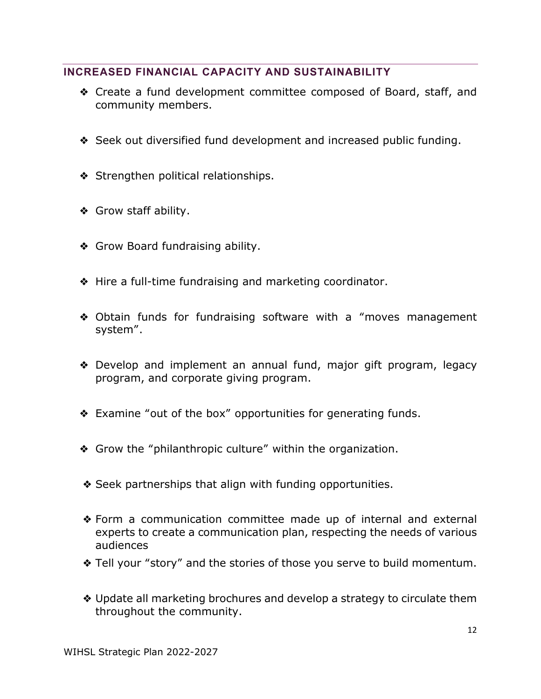### <span id="page-12-0"></span>**INCREASED FINANCIAL CAPACITY AND SUSTAINABILITY**

- ❖ Create a fund development committee composed of Board, staff, and community members.
- ❖ Seek out diversified fund development and increased public funding.
- ❖ Strengthen political relationships.
- ❖ Grow staff ability.
- ❖ Grow Board fundraising ability.
- ❖ Hire a full-time fundraising and marketing coordinator.
- ❖ Obtain funds for fundraising software with a "moves management system".
- ❖ Develop and implement an annual fund, major gift program, legacy program, and corporate giving program.
- ❖ Examine "out of the box" opportunities for generating funds.
- ❖ Grow the "philanthropic culture" within the organization.
- ❖ Seek partnerships that align with funding opportunities.
- ❖ Form a communication committee made up of internal and external experts to create a communication plan, respecting the needs of various audiences
- ❖ Tell your "story" and the stories of those you serve to build momentum.
- ❖ Update all marketing brochures and develop a strategy to circulate them throughout the community.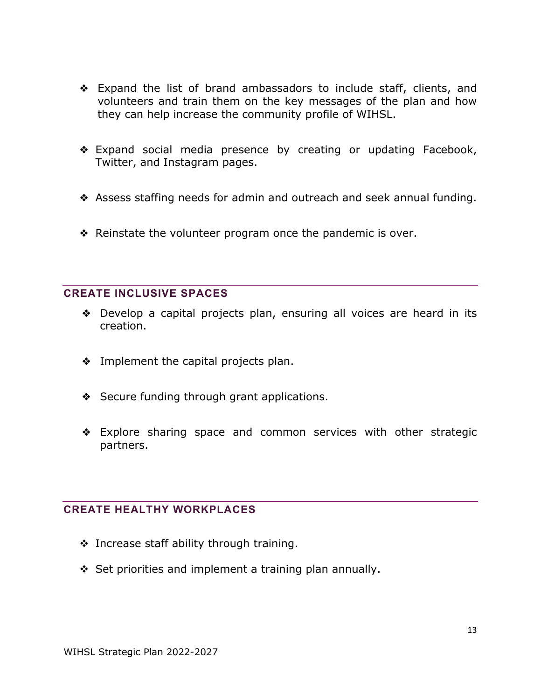- ❖ Expand the list of brand ambassadors to include staff, clients, and volunteers and train them on the key messages of the plan and how they can help increase the community profile of WIHSL.
- ❖ Expand social media presence by creating or updating Facebook, Twitter, and Instagram pages.
- ❖ Assess staffing needs for admin and outreach and seek annual funding.
- ❖ Reinstate the volunteer program once the pandemic is over.

#### <span id="page-13-0"></span>**CREATE INCLUSIVE SPACES**

- ❖ Develop a capital projects plan, ensuring all voices are heard in its creation.
- ❖ Implement the capital projects plan.
- ❖ Secure funding through grant applications.
- ❖ Explore sharing space and common services with other strategic partners.

### <span id="page-13-1"></span>**CREATE HEALTHY WORKPLACES**

- ◆ Increase staff ability through training.
- $\div$  Set priorities and implement a training plan annually.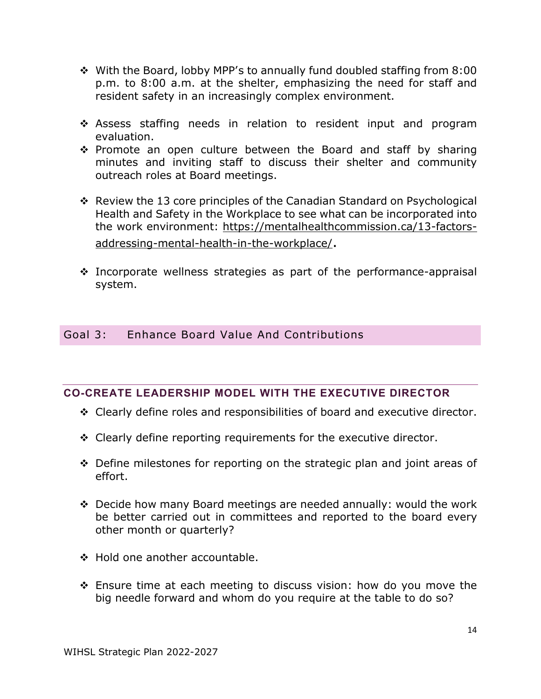- With the Board, lobby MPP's to annually fund doubled staffing from 8:00 p.m. to 8:00 a.m. at the shelter, emphasizing the need for staff and resident safety in an increasingly complex environment.
- \* Assess staffing needs in relation to resident input and program evaluation.
- $\cdot$  Promote an open culture between the Board and staff by sharing minutes and inviting staff to discuss their shelter and community outreach roles at Board meetings.
- Review the 13 core principles of the Canadian Standard on Psychological Health and Safety in the Workplace to see what can be incorporated into the work environment: [https://mentalhealthcommission.ca/13-factors](https://mentalhealthcommission.ca/13-factors-addressing-mental-health-in-the-workplace/)[addressing-mental-health-in-the-workplace/.](https://mentalhealthcommission.ca/13-factors-addressing-mental-health-in-the-workplace/)
- $\cdot$  Incorporate wellness strategies as part of the performance-appraisal system.

### <span id="page-14-0"></span>Goal 3: Enhance Board Value And Contributions

### <span id="page-14-1"></span>**CO-CREATE LEADERSHIP MODEL WITH THE EXECUTIVE DIRECTOR**

- $\div$  Clearly define roles and responsibilities of board and executive director.
- $\div$  Clearly define reporting requirements for the executive director.
- $\div$  Define milestones for reporting on the strategic plan and joint areas of effort.
- Decide how many Board meetings are needed annually: would the work be better carried out in committees and reported to the board every other month or quarterly?
- ❖ Hold one another accountable.
- $\div$  Ensure time at each meeting to discuss vision: how do you move the big needle forward and whom do you require at the table to do so?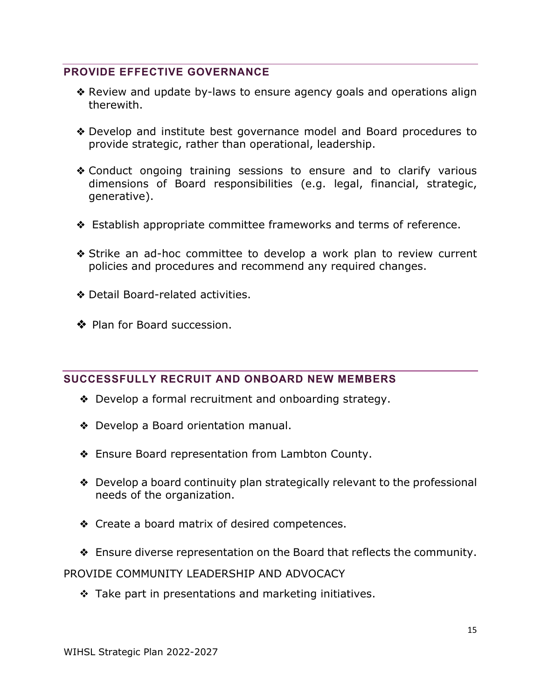### <span id="page-15-0"></span>**PROVIDE EFFECTIVE GOVERNANCE**

- ❖ Review and update by-laws to ensure agency goals and operations align therewith.
- ❖ Develop and institute best governance model and Board procedures to provide strategic, rather than operational, leadership.
- ❖ Conduct ongoing training sessions to ensure and to clarify various dimensions of Board responsibilities (e.g. legal, financial, strategic, generative).
- ❖ Establish appropriate committee frameworks and terms of reference.
- ❖ Strike an ad-hoc committee to develop a work plan to review current policies and procedures and recommend any required changes.
- ❖ Detail Board-related activities.
- ❖ Plan for Board succession.

### <span id="page-15-1"></span>**SUCCESSFULLY RECRUIT AND ONBOARD NEW MEMBERS**

- ❖ Develop a formal recruitment and onboarding strategy.
- ❖ Develop a Board orientation manual.
- ❖ Ensure Board representation from Lambton County.
- ❖ Develop a board continuity plan strategically relevant to the professional needs of the organization.
- ❖ Create a board matrix of desired competences.
- ❖ Ensure diverse representation on the Board that reflects the community.

PROVIDE COMMUNITY LEADERSHIP AND ADVOCACY

 $\div$  Take part in presentations and marketing initiatives.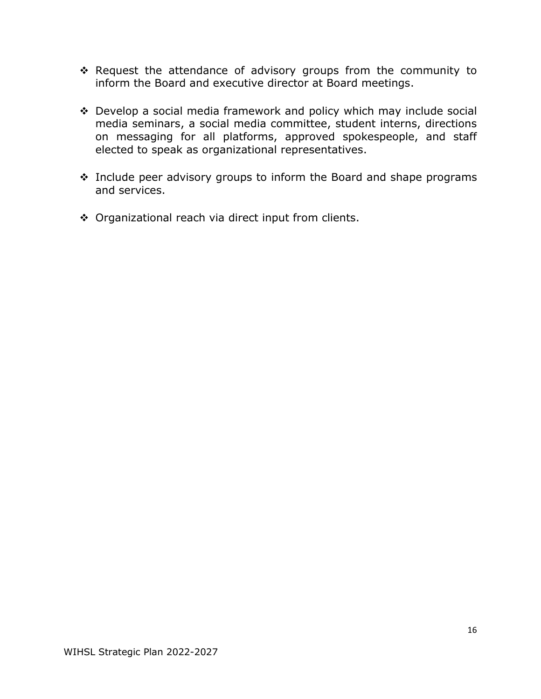- $\cdot$  Request the attendance of advisory groups from the community to inform the Board and executive director at Board meetings.
- Develop a social media framework and policy which may include social media seminars, a social media committee, student interns, directions on messaging for all platforms, approved spokespeople, and staff elected to speak as organizational representatives.
- $\cdot$  Include peer advisory groups to inform the Board and shape programs and services.
- ◆ Organizational reach via direct input from clients.